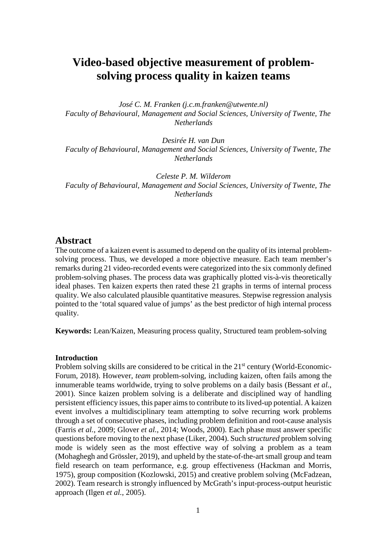# **Video-based objective measurement of problemsolving process quality in kaizen teams**

*José C. M. Franken (j.c.m.franken@utwente.nl) Faculty of Behavioural, Management and Social Sciences, University of Twente, The Netherlands*

*Desirée H. van Dun Faculty of Behavioural, Management and Social Sciences, University of Twente, The Netherlands*

*Celeste P. M. Wilderom Faculty of Behavioural, Management and Social Sciences, University of Twente, The Netherlands*

# **Abstract**

The outcome of a kaizen event is assumed to depend on the quality of its internal problemsolving process. Thus, we developed a more objective measure. Each team member's remarks during 21 video-recorded events were categorized into the six commonly defined problem-solving phases. The process data was graphically plotted vis-à-vis theoretically ideal phases. Ten kaizen experts then rated these 21 graphs in terms of internal process quality. We also calculated plausible quantitative measures. Stepwise regression analysis pointed to the 'total squared value of jumps' as the best predictor of high internal process quality.

**Keywords:** Lean/Kaizen, Measuring process quality, Structured team problem-solving

## **Introduction**

Problem solving skills are considered to be critical in the 21<sup>st</sup> century (World-Economic-Forum, 2018). However, *team* problem-solving*,* including kaizen, often fails among the innumerable teams worldwide, trying to solve problems on a daily basis (Bessant *et al.*, 2001). Since kaizen problem solving is a deliberate and disciplined way of handling persistent efficiency issues, this paper aimsto contribute to its lived-up potential. A kaizen event involves a multidisciplinary team attempting to solve recurring work problems through a set of consecutive phases, including problem definition and root-cause analysis (Farris *et al.*, 2009; Glover *et al.*, 2014; Woods, 2000). Each phase must answer specific questions before moving to the next phase (Liker, 2004). Such s*tructured* problem solving mode is widely seen as the most effective way of solving a problem as a team (Mohaghegh and Grössler, 2019), and upheld by the state-of-the-art small group and team field research on team performance, e.g. group effectiveness (Hackman and Morris, 1975), group composition (Kozlowski, 2015) and creative problem solving (McFadzean, 2002). Team research is strongly influenced by McGrath's input-process-output heuristic approach (Ilgen *et al.*, 2005).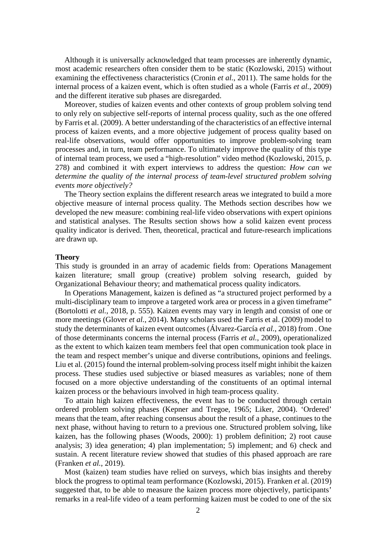Although it is universally acknowledged that team processes are inherently dynamic, most academic researchers often consider them to be static (Kozlowski, 2015) without examining the effectiveness characteristics (Cronin *et al.*, 2011). The same holds for the internal process of a kaizen event, which is often studied as a whole (Farris *et al.*, 2009) and the different iterative sub phases are disregarded.

Moreover, studies of kaizen events and other contexts of group problem solving tend to only rely on subjective self-reports of internal process quality, such as the one offered by Farris et al. (2009). A better understanding of the characteristics of an effective internal process of kaizen events, and a more objective judgement of process quality based on real-life observations, would offer opportunities to improve problem-solving team processes and, in turn, team performance. To ultimately improve the quality of this type of internal team process, we used a "high-resolution" video method (Kozlowski, 2015, p. 278) and combined it with expert interviews to address the question: *How can we determine the quality of the internal process of team-level structured problem solving events more objectively?*

The Theory section explains the different research areas we integrated to build a more objective measure of internal process quality. The Methods section describes how we developed the new measure: combining real-life video observations with expert opinions and statistical analyses. The Results section shows how a solid kaizen event process quality indicator is derived. Then, theoretical, practical and future-research implications are drawn up.

#### **Theory**

This study is grounded in an array of academic fields from: Operations Management kaizen literature; small group (creative) problem solving research, guided by Organizational Behaviour theory; and mathematical process quality indicators.

In Operations Management, kaizen is defined as "a structured project performed by a multi-disciplinary team to improve a targeted work area or process in a given timeframe" (Bortolotti *et al.*, 2018, p. 555). Kaizen events may vary in length and consist of one or more meetings (Glover *et al.*, 2014). Many scholars used the Farris et al. (2009) model to study the determinants of kaizen event outcomes (Álvarez-García *et al.*, 2018) from . One of those determinants concerns the internal process (Farris *et al.*, 2009), operationalized as the extent to which kaizen team members feel that open communication took place in the team and respect member's unique and diverse contributions, opinions and feelings. Liu et al. (2015) found the internal problem-solving process itself might inhibit the kaizen process. These studies used subjective or biased measures as variables; none of them focused on a more objective understanding of the constituents of an optimal internal kaizen process or the behaviours involved in high team-process quality.

To attain high kaizen effectiveness, the event has to be conducted through certain ordered problem solving phases (Kepner and Tregoe, 1965; Liker, 2004). 'Ordered' means that the team, after reaching consensus about the result of a phase, continues to the next phase, without having to return to a previous one. Structured problem solving, like kaizen, has the following phases (Woods, 2000): 1) problem definition; 2) root cause analysis; 3) idea generation; 4) plan implementation; 5) implement; and 6) check and sustain. A recent literature review showed that studies of this phased approach are rare (Franken *et al.*, 2019).

Most (kaizen) team studies have relied on surveys, which bias insights and thereby block the progress to optimal team performance (Kozlowski, 2015). Franken *et* al. (2019) suggested that, to be able to measure the kaizen process more objectively, participants' remarks in a real-life video of a team performing kaizen must be coded to one of the six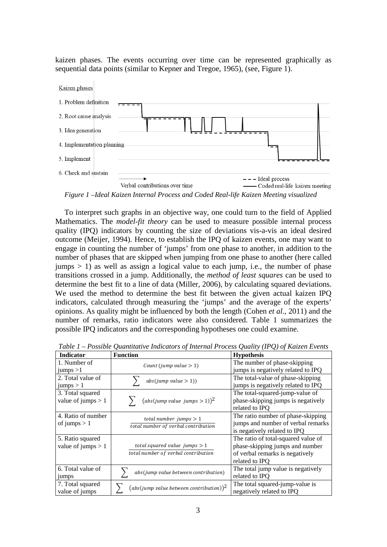kaizen phases. The events occurring over time can be represented graphically as sequential data points (similar to Kepner and Tregoe, 1965), (see, Figure 1).



*Figure 1 –Ideal Kaizen Internal Process and Coded Real-life Kaizen Meeting visualized*

To interpret such graphs in an objective way, one could turn to the field of Applied Mathematics. The *model-fit theory* can be used to measure possible internal process quality (IPQ) indicators by counting the size of deviations vis-a-vis an ideal desired outcome (Meijer, 1994). Hence, to establish the IPQ of kaizen events, one may want to engage in counting the number of 'jumps' from one phase to another, in addition to the number of phases that are skipped when jumping from one phase to another (here called  $jumps > 1$ ) as well as assign a logical value to each jump, i.e., the number of phase transitions crossed in a jump. Additionally, the *method of least squares* can be used to determine the best fit to a line of data (Miller, 2006), by calculating squared deviations. We used the method to determine the best fit between the given actual kaizen IPQ indicators, calculated through measuring the 'jumps' and the average of the experts' opinions. As quality might be influenced by both the length (Cohen *et al.*, 2011) and the number of remarks, ratio indicators were also considered. Table 1 summarizes the possible IPQ indicators and the corresponding hypotheses one could examine.

| <b>Indicator</b>                         | таже 1 – гозмже Quantuative matculors of miernal Frocess Quality (11 Q) of Katzen Events<br><b>Function</b> | <b>Hypothesis</b>                                                                                                           |
|------------------------------------------|-------------------------------------------------------------------------------------------------------------|-----------------------------------------------------------------------------------------------------------------------------|
| 1. Number of<br>jumps > 1                | Count (jump value $> 1$ )                                                                                   | The number of phase-skipping<br>jumps is negatively related to IPQ                                                          |
| 2. Total value of<br>jumps $> 1$         | abs(jump value > 1))                                                                                        | The total-value of phase-skipping<br>jumps is negatively related to IPQ                                                     |
| 3. Total squared<br>value of jumps $> 1$ | $(abs(jump value jumps > 1))^2$                                                                             | The total-squared-jump-value of<br>phase-skipping jumps is negatively<br>related to IPO                                     |
| 4. Ratio of number<br>of jumps $> 1$     | total number jumps $> 1$<br>total number of verbal contribution                                             | The ratio number of phase-skipping<br>jumps and number of verbal remarks<br>is negatively related to IPQ                    |
| 5. Ratio squared<br>value of jumps $> 1$ | total squared value jumps $> 1$<br>total number of verbal contribution                                      | The ratio of total-squared value of<br>phase-skipping jumps and number<br>of verbal remarks is negatively<br>related to IPO |
| 6. Total value of<br>jumps               | abs(jump value between contribution)                                                                        | The total jump value is negatively<br>related to IPQ                                                                        |
| 7. Total squared<br>value of jumps       | ${\rm (abs(jump \ value \ between \ contribution))^2}$                                                      | The total squared-jump-value is<br>negatively related to IPQ                                                                |

*Table 1 – Possible Quantitative Indicators of Internal Process Quality (IPQ) of Kaizen Events*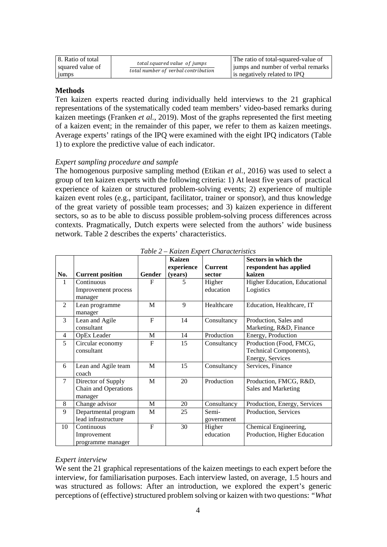| 18. Ratio of total<br>squared value of<br>1umps | total squared value of jumps        | The ratio of total-squared-value of<br>jumps and number of verbal remarks |
|-------------------------------------------------|-------------------------------------|---------------------------------------------------------------------------|
|                                                 | total number of verbal contribution | is negatively related to IPO                                              |

### **Methods**

Ten kaizen experts reacted during individually held interviews to the 21 graphical representations of the systematically coded team members' video-based remarks during kaizen meetings (Franken *et al.*, 2019). Most of the graphs represented the first meeting of a kaizen event; in the remainder of this paper, we refer to them as kaizen meetings. Average experts' ratings of the IPQ were examined with the eight IPQ indicators (Table 1) to explore the predictive value of each indicator.

#### *Expert sampling procedure and sample*

The homogenous purposive sampling method (Etikan *et al.*, 2016) was used to select a group of ten kaizen experts with the following criteria: 1) At least five years of practical experience of kaizen or structured problem-solving events; 2) experience of multiple kaizen event roles (e.g., participant, facilitator, trainer or sponsor), and thus knowledge of the great variety of possible team processes; and 3) kaizen experience in different sectors, so as to be able to discuss possible problem-solving process differences across contexts. Pragmatically, Dutch experts were selected from the authors' wide business network. Table 2 describes the experts' characteristics.

|                |                                                       |              | <b>Kaizen</b><br>experience | <b>Current</b>      | Sectors in which the<br>respondent has applied                        |
|----------------|-------------------------------------------------------|--------------|-----------------------------|---------------------|-----------------------------------------------------------------------|
| No.            | <b>Current position</b>                               | Gender       | (years)                     | sector              | kaizen                                                                |
| 1              | Continuous<br>Improvement process<br>manager          | F            | 5                           | Higher<br>education | Higher Education, Educational<br>Logistics                            |
| $\mathfrak{D}$ | Lean programme<br>manager                             | M            | $\mathbf{Q}$                | Healthcare          | Education, Healthcare, IT                                             |
| 3              | Lean and Agile<br>consultant                          | $\mathbf{F}$ | 14                          | Consultancy         | Production, Sales and<br>Marketing, R&D, Finance                      |
| $\overline{4}$ | OpEx Leader                                           | M            | 14                          | Production          | Energy, Production                                                    |
| 5              | Circular economy<br>consultant                        | $\mathsf{F}$ | 15                          | Consultancy         | Production (Food, FMCG,<br>Technical Components),<br>Energy, Services |
| 6              | Lean and Agile team<br>coach                          | M            | 15                          | Consultancy         | Services, Finance                                                     |
| $\tau$         | Director of Supply<br>Chain and Operations<br>manager | M            | 20                          | Production          | Production, FMCG, R&D,<br>Sales and Marketing                         |
| 8              | Change advisor                                        | M            | 20                          | Consultancy         | Production, Energy, Services                                          |
| 9              | Departmental program<br>lead infrastructure           | M            | 25                          | Semi-<br>government | Production, Services                                                  |
| 10             | Continuous<br>Improvement<br>programme manager        | $\mathbf{F}$ | 30                          | Higher<br>education | Chemical Engineering,<br>Production, Higher Education                 |

*Table 2 – Kaizen Expert Characteristics*

#### *Expert interview*

We sent the 21 graphical representations of the kaizen meetings to each expert before the interview, for familiarisation purposes. Each interview lasted, on average, 1.5 hours and was structured as follows: After an introduction, we explored the expert's generic perceptions of (effective) structured problem solving or kaizen with two questions: *"What*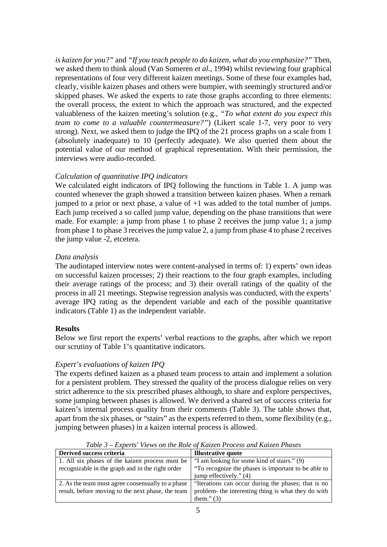*is kaizen for you?"* and *"If you teach people to do kaizen, what do you emphasize?"* Then, we asked them to think aloud (Van Someren *et al.*, 1994) whilst reviewing four graphical representations of four very different kaizen meetings. Some of these four examples had, clearly, visible kaizen phases and others were bumpier, with seemingly structured and/or skipped phases. We asked the experts to rate those graphs according to three elements: the overall process, the extent to which the approach was structured, and the expected valuableness of the kaizen meeting's solution (e.g., *"To what extent do you expect this team to come to a valuable countermeasure?"*) (Likert scale 1-7, very poor to very strong). Next, we asked them to judge the IPQ of the 21 process graphs on a scale from 1 (absolutely inadequate) to 10 (perfectly adequate). We also queried them about the potential value of our method of graphical representation. With their permission, the interviews were audio-recorded.

# *Calculation of quantitative IPQ indicators*

We calculated eight indicators of IPQ following the functions in Table 1. A jump was counted whenever the graph showed a transition between kaizen phases. When a remark jumped to a prior or next phase, a value of  $+1$  was added to the total number of jumps. Each jump received a so called jump value, depending on the phase transitions that were made. For example: a jump from phase 1 to phase 2 receives the jump value 1; a jump from phase 1 to phase 3 receives the jump value 2, a jump from phase 4 to phase 2 receives the jump value -2, etcetera.

## *Data analysis*

The audiotaped interview notes were content-analysed in terms of: 1) experts' own ideas on successful kaizen processes; 2) their reactions to the four graph examples, including their average ratings of the process; and 3) their overall ratings of the quality of the process in all 21 meetings. Stepwise regression analysis was conducted, with the experts' average IPQ rating as the dependent variable and each of the possible quantitative indicators (Table 1) as the independent variable.

## **Results**

Below we first report the experts' verbal reactions to the graphs, after which we report our scrutiny of Table 1's quantitative indicators.

## *Expert's evaluations of kaizen IPQ*

The experts defined kaizen as a phased team process to attain and implement a solution for a persistent problem. They stressed the quality of the process dialogue relies on very strict adherence to the six prescribed phases although, to share and explore perspectives, some jumping between phases is allowed. We derived a shared set of success criteria for kaizen's internal process quality from their comments (Table 3). The table shows that, apart from the six phases, or "stairs" as the experts referred to them, some flexibility (e.g., jumping between phases) in a kaizen internal process is allowed.

| Derived success criteria                          | <b>Illustrative quote</b>                           |
|---------------------------------------------------|-----------------------------------------------------|
| 1. All six phases of the kaizen process must be   | "I am looking for some kind of stairs." (9)         |
| recognizable in the graph and in the right order  | "To recognize the phases is important to be able to |
|                                                   | jump effectively." (4)                              |
| 2. As the team must agree consensually to a phase | "Iterations can occur during the phases; that is no |
| result, before moving to the next phase, the team | problem- the interesting thing is what they do with |
|                                                   | them." $(3)$                                        |

*Table 3 – Experts' Views on the Role of Kaizen Process and Kaizen Phases*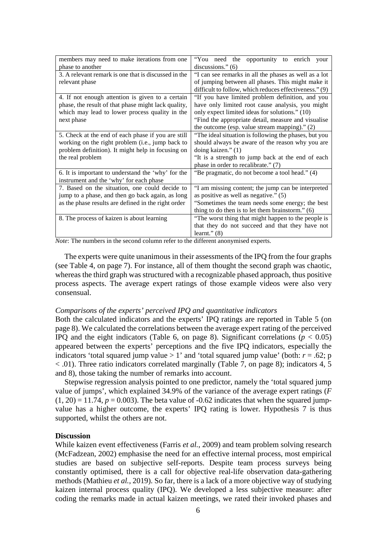| members may need to make iterations from one         | "You need the opportunity to enrich<br>your            |  |  |
|------------------------------------------------------|--------------------------------------------------------|--|--|
| phase to another                                     | discussions." $(6)$                                    |  |  |
| 3. A relevant remark is one that is discussed in the | "I can see remarks in all the phases as well as a lot  |  |  |
| relevant phase                                       | of jumping between all phases. This might make it      |  |  |
|                                                      | difficult to follow, which reduces effectiveness." (9) |  |  |
| 4. If not enough attention is given to a certain     | "If you have limited problem definition, and you       |  |  |
| phase, the result of that phase might lack quality,  | have only limited root cause analysis, you might       |  |  |
| which may lead to lower process quality in the       | only expect limited ideas for solutions." (10)         |  |  |
| next phase                                           | "Find the appropriate detail, measure and visualise    |  |  |
|                                                      | the outcome (esp. value stream mapping)." $(2)$        |  |  |
| 5. Check at the end of each phase if you are still   | "The ideal situation is following the phases, but you  |  |  |
| working on the right problem (i.e., jump back to     | should always be aware of the reason why you are       |  |  |
| problem definition). It might help in focusing on    | doing kaizen." (1)                                     |  |  |
| the real problem                                     | "It is a strength to jump back at the end of each      |  |  |
|                                                      | phase in order to recalibrate." (7)                    |  |  |
| 6. It is important to understand the 'why' for the   | "Be pragmatic, do not become a tool head." (4)         |  |  |
| instrument and the 'why' for each phase              |                                                        |  |  |
| 7. Based on the situation, one could decide to       | "I am missing content; the jump can be interpreted     |  |  |
| jump to a phase, and then go back again, as long     | as positive as well as negative." $(5)$                |  |  |
| as the phase results are defined in the right order  | "Sometimes the team needs some energy; the best        |  |  |
|                                                      | thing to do then is to let them brainstorm." $(6)$     |  |  |
| 8. The process of kaizen is about learning           | "The worst thing that might happen to the people is    |  |  |
|                                                      | that they do not succeed and that they have not        |  |  |
|                                                      | learnt." $(8)$                                         |  |  |

*Note*: The numbers in the second column refer to the different anonymised experts.

The experts were quite unanimous in their assessments of the IPQ from the four graphs (see Table 4, on page 7). For instance, all of them thought the second graph was chaotic, whereas the third graph was structured with a recognizable phased approach, thus positive process aspects. The average expert ratings of those example videos were also very consensual.

#### *Comparisons of the experts' perceived IPQ and quantitative indicators*

Both the calculated indicators and the experts' IPQ ratings are reported in Table 5 (on page 8). We calculated the correlations between the average expert rating of the perceived IPQ and the eight indicators (Table 6, on page 8). Significant correlations ( $p < 0.05$ ) appeared between the experts' perceptions and the five IPQ indicators, especially the indicators 'total squared jump value  $> 1$ ' and 'total squared jump value' (both:  $r = .62$ ; p < .01). Three ratio indicators correlated marginally (Table 7, on page 8); indicators 4, 5 and 8), those taking the number of remarks into account.

Stepwise regression analysis pointed to one predictor, namely the 'total squared jump value of jumps', which explained 34.9% of the variance of the average expert ratings (*F*  $(1, 20) = 11.74$ ,  $p = 0.003$ ). The beta value of  $-0.62$  indicates that when the squared jumpvalue has a higher outcome, the experts' IPQ rating is lower. Hypothesis 7 is thus supported, whilst the others are not.

#### **Discussion**

While kaizen event effectiveness (Farris *et al.*, 2009) and team problem solving research (McFadzean, 2002) emphasise the need for an effective internal process, most empirical studies are based on subjective self-reports. Despite team process surveys being constantly optimised, there is a call for objective real-life observation data-gathering methods (Mathieu *et al.*, 2019). So far, there is a lack of a more objective way of studying kaizen internal process quality (IPQ). We developed a less subjective measure: after coding the remarks made in actual kaizen meetings, we rated their invoked phases and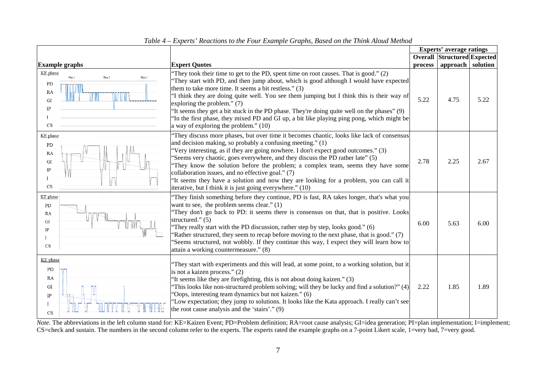|                                                     |                                                                           |                                                                                                                                                                                                                                                                                                                                                                                                                                                                                                                                                                                                                                |         | <b>Experts' average ratings</b>    |      |
|-----------------------------------------------------|---------------------------------------------------------------------------|--------------------------------------------------------------------------------------------------------------------------------------------------------------------------------------------------------------------------------------------------------------------------------------------------------------------------------------------------------------------------------------------------------------------------------------------------------------------------------------------------------------------------------------------------------------------------------------------------------------------------------|---------|------------------------------------|------|
|                                                     |                                                                           |                                                                                                                                                                                                                                                                                                                                                                                                                                                                                                                                                                                                                                |         | <b>Overall Structured Expected</b> |      |
|                                                     | <b>Example graphs</b>                                                     | <b>Expert Quotes</b>                                                                                                                                                                                                                                                                                                                                                                                                                                                                                                                                                                                                           | process | approach solution                  |      |
|                                                     | KE phase<br>Phase 1<br>Phase 2<br>PD<br>RA<br>GI<br>$\rm IP$<br><b>CS</b> | "They took their time to get to the PD, spent time on root causes. That is good." $(2)$<br>"They start with PD, and then jump about, which is good although I would have expected<br>them to take more time. It seems a bit restless." (3)<br>"I think they are doing quite well. You see them jumping but I think this is their way of<br>exploring the problem." (7)<br>'It seems they get a bit stuck in the PD phase. They're doing quite well on the phases" (9)<br>In the first phase, they mixed PD and GI up, a bit like playing ping pong, which might be<br>a way of exploring the problem." (10)                    | 5.22    | 4.75                               | 5.22 |
| $\mathbf{I}$                                        | KE phase<br>PD<br>RA<br>GI<br>$_{\rm IP}$<br>CS                           | They discuss more phases, but over time it becomes chaotic, looks like lack of consensus<br>and decision making, so probably a confusing meeting." (1)<br>"Very interesting, as if they are going nowhere. I don't expect good outcomes." (3)<br>'Seems very chaotic, goes everywhere, and they discuss the PD rather late" (5)<br>They know the solution before the problem; a complex team, seems they have some<br>collaboration issues, and no effective goal." (7)<br>"It seems they have a solution and now they are looking for a problem, you can call it<br>iterative, but I think it is just going everywhere." (10) | 2.78    | 2.25                               | 2.67 |
| PD<br>RA<br>GI<br>$_{\rm IP}$<br>$\mathbf{I}$<br>CS | KE phase                                                                  | "They finish something before they continue, PD is fast, RA takes longer, that's what you<br>want to see, the problem seems clear." $(1)$<br>They don't go back to PD: it seems there is consensus on that, that is positive. Looks<br>structured." $(5)$<br>They really start with the PD discussion, rather step by step, looks good." (6)<br>'Rather structured, they seem to recap before moving to the next phase, that is good." (7)<br>'Seems structured, not wobbly. If they continue this way, I expect they will learn how to<br>attain a working countermeasure." (8)                                               | 6.00    | 5.63                               | 6.00 |
| Ι                                                   | KE phase<br>PD<br>RA<br>GI<br>$_{\rm IP}$<br><b>CS</b>                    | They start with experiments and this will lead, at some point, to a working solution, but it<br>is not a kaizen process." (2)<br>'It seems like they are firefighting, this is not about doing kaizen." (3)<br>This looks like non-structured problem solving; will they be lucky and find a solution?" $(4)$<br>'Oops, interesting team dynamics but not kaizen." (6)<br>'Low expectation; they jump to solutions. It looks like the Kata approach. I really can't see<br>the root cause analysis and the 'stairs'." (9)                                                                                                      | 2.22    | 1.85                               | 1.89 |

*Table 4 – Experts' Reactions to the Four Example Graphs, Based on the Think Aloud Method*

*Note*. The abbreviations in the left column stand for: KE=Kaizen Event; PD=Problem definition; RA=root cause analysis; GI=idea generation; PI=plan implementation; I=implement; CS=check and sustain. The numbers in the second column refer to the experts. The experts rated the example graphs on a 7-point Likert scale, 1=very bad, 7=very good.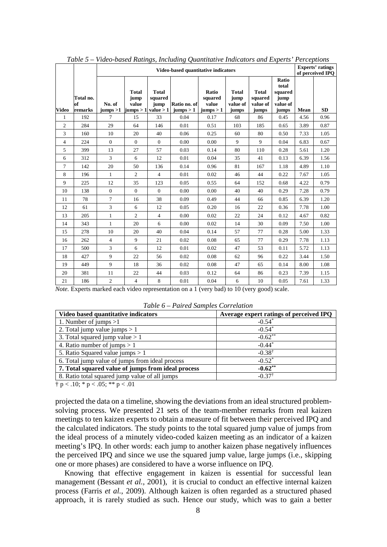|                |                            |                    | таже э – viaeo-vasea Kanngs, тенату Quannianve matcawrs and Experts -1 erceptions<br>Video-based quantitative indicators |                                 |                           |                                        |                                           |                                              |                                                        | <b>Experts'</b> ratings<br>of perceived IPO |           |
|----------------|----------------------------|--------------------|--------------------------------------------------------------------------------------------------------------------------|---------------------------------|---------------------------|----------------------------------------|-------------------------------------------|----------------------------------------------|--------------------------------------------------------|---------------------------------------------|-----------|
| <b>Video</b>   | Total no.<br>of<br>remarks | No. of<br>jumps >1 | <b>Total</b><br>jump<br>value<br>jumps $> 1$ value $> 1$                                                                 | <b>Total</b><br>squared<br>jump | Ratio no. of<br>jumps > 1 | Ratio<br>squared<br>value<br>jumps > 1 | <b>Total</b><br>jump<br>value of<br>jumps | <b>Total</b><br>squared<br>value of<br>jumps | Ratio<br>total<br>squared<br>jump<br>value of<br>jumps | Mean                                        | <b>SD</b> |
| $\mathbf{1}$   | 192                        | $\tau$             | 15                                                                                                                       | 33                              | 0.04                      | 0.17                                   | 68                                        | 86                                           | 0.45                                                   | 4.56                                        | 0.96      |
| 2              | 284                        | 29                 | 64                                                                                                                       | 146                             | 0.01                      | 0.51                                   | 103                                       | 185                                          | 0.65                                                   | 3.89                                        | 0.87      |
| 3              | 160                        | 10                 | 20                                                                                                                       | 40                              | 0.06                      | 0.25                                   | 60                                        | 80                                           | 0.50                                                   | 7.33                                        | 1.05      |
| $\overline{4}$ | 224                        | $\overline{0}$     | $\mathbf{0}$                                                                                                             | $\overline{0}$                  | 0.00                      | 0.00                                   | 9                                         | 9                                            | 0.04                                                   | 6.83                                        | 0.67      |
| 5              | 399                        | 13                 | 27                                                                                                                       | 57                              | 0.03                      | 0.14                                   | 80                                        | 110                                          | 0.28                                                   | 5.61                                        | 1.20      |
| 6              | 312                        | 3                  | 6                                                                                                                        | 12                              | 0.01                      | 0.04                                   | 35                                        | 41                                           | 0.13                                                   | 6.39                                        | 1.56      |
| $\tau$         | 142                        | 20                 | 50                                                                                                                       | 136                             | 0.14                      | 0.96                                   | 81                                        | 167                                          | 1.18                                                   | 4.89                                        | 1.10      |
| 8              | 196                        | $\mathbf{1}$       | $\overline{2}$                                                                                                           | $\overline{4}$                  | 0.01                      | 0.02                                   | 46                                        | 44                                           | 0.22                                                   | 7.67                                        | 1.05      |
| 9              | 225                        | 12                 | 35                                                                                                                       | 123                             | 0.05                      | 0.55                                   | 64                                        | 152                                          | 0.68                                                   | 4.22                                        | 0.79      |
| 10             | 138                        | $\overline{0}$     | $\overline{0}$                                                                                                           | $\overline{0}$                  | 0.00                      | 0.00                                   | 40                                        | 40                                           | 0.29                                                   | 7.28                                        | 0.79      |
| 11             | 78                         | $\tau$             | 16                                                                                                                       | 38                              | 0.09                      | 0.49                                   | 44                                        | 66                                           | 0.85                                                   | 6.39                                        | 1.20      |
| 12             | 61                         | 3                  | 6                                                                                                                        | 12                              | 0.05                      | 0.20                                   | 16                                        | 22                                           | 0.36                                                   | 7.78                                        | 1.00      |
| 13             | 205                        | $\mathbf{1}$       | $\overline{2}$                                                                                                           | $\overline{4}$                  | 0.00                      | 0.02                                   | 22                                        | 24                                           | 0.12                                                   | 4.67                                        | 0.82      |
| 14             | 343                        | $\mathbf{1}$       | 20                                                                                                                       | 6                               | 0.00                      | 0.02                                   | 14                                        | 30                                           | 0.09                                                   | 7.50                                        | 1.00      |
| 15             | 278                        | 10                 | 20                                                                                                                       | 40                              | 0.04                      | 0.14                                   | 57                                        | 77                                           | 0.28                                                   | 5.00                                        | 1.33      |
| 16             | 262                        | $\overline{4}$     | 9                                                                                                                        | 21                              | 0.02                      | 0.08                                   | 65                                        | 77                                           | 0.29                                                   | 7.78                                        | 1.13      |
| 17             | 500                        | 3                  | 6                                                                                                                        | 12                              | 0.01                      | 0.02                                   | 47                                        | 53                                           | 0.11                                                   | 5.72                                        | 1.13      |
| 18             | 427                        | 9                  | 22                                                                                                                       | 56                              | 0.02                      | 0.08                                   | 62                                        | 96                                           | 0.22                                                   | 3.44                                        | 1.50      |
| 19             | 449                        | 9                  | 18                                                                                                                       | 36                              | 0.02                      | 0.08                                   | 47                                        | 65                                           | 0.14                                                   | 8.00                                        | 1.08      |
| 20             | 381                        | 11                 | 22                                                                                                                       | 44                              | 0.03                      | 0.12                                   | 64                                        | 86                                           | 0.23                                                   | 7.39                                        | 1.15      |
| 21             | 186                        | $\overline{2}$     | $\overline{4}$                                                                                                           | 8                               | 0.01                      | 0.04                                   | 6                                         | 10                                           | 0.05                                                   | 7.61                                        | 1.33      |

*Table 5 – Video-based Ratings, Including Quantitative Indicators and Experts' Perceptions*

*Note.* Experts marked each video representation on a 1 (very bad) to 10 (very good) scale.

|  | Table 6 - Paired Samples Correlation |  |
|--|--------------------------------------|--|
|  |                                      |  |

| Video based quantitative indicators                | Average expert ratings of perceived IPQ |
|----------------------------------------------------|-----------------------------------------|
| 1. Number of jumps $>1$                            | $-0.54*$                                |
| 2. Total jump value jumps $> 1$                    | $-0.54*$                                |
| 3. Total squared jump value $> 1$                  | $-0.62**$                               |
| 4. Ratio number of jumps $> 1$                     | $-0.44*$                                |
| 5. Ratio Squared value jumps $> 1$                 | $-0.38^{\dagger}$                       |
| 6. Total jump value of jumps from ideal process    | $-0.52^*$                               |
| 7. Total squared value of jumps from ideal process | $-0.62**$                               |
| 8. Ratio total squared jump value of all jumps     | $-0.37^{\dagger}$                       |

 $\frac{1}{7}$  p < .10; \* p < .05; \*\* p < .01

projected the data on a timeline, showing the deviations from an ideal structured problemsolving process. We presented 21 sets of the team-member remarks from real kaizen meetings to ten kaizen experts to obtain a measure of fit between their perceived IPQ and the calculated indicators. The study points to the total squared jump value of jumps from the ideal process of a minutely video-coded kaizen meeting as an indicator of a kaizen meeting's IPQ. In other words: each jump to another kaizen phase negatively influences the perceived IPQ and since we use the squared jump value, large jumps (i.e., skipping one or more phases) are considered to have a worse influence on IPQ.

Knowing that effective engagement in kaizen is essential for successful lean management (Bessant *et al.*, 2001), it is crucial to conduct an effective internal kaizen process (Farris *et al.*, 2009). Although kaizen is often regarded as a structured phased approach, it is rarely studied as such. Hence our study, which was to gain a better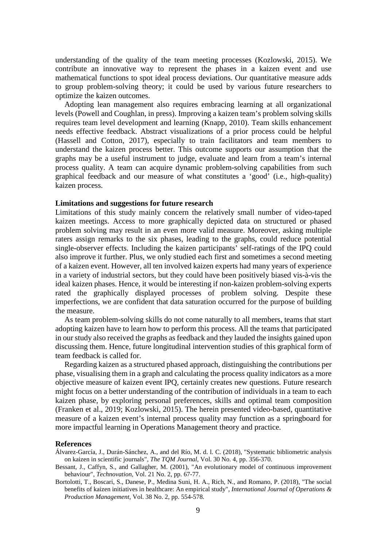understanding of the quality of the team meeting processes (Kozlowski, 2015). We contribute an innovative way to represent the phases in a kaizen event and use mathematical functions to spot ideal process deviations. Our quantitative measure adds to group problem-solving theory; it could be used by various future researchers to optimize the kaizen outcomes.

Adopting lean management also requires embracing learning at all organizational levels (Powell and Coughlan, in press). Improving a kaizen team's problem solving skills requires team level development and learning (Knapp, 2010). Team skills enhancement needs effective feedback. Abstract visualizations of a prior process could be helpful (Hassell and Cotton, 2017), especially to train facilitators and team members to understand the kaizen process better. This outcome supports our assumption that the graphs may be a useful instrument to judge, evaluate and learn from a team's internal process quality. A team can acquire dynamic problem-solving capabilities from such graphical feedback and our measure of what constitutes a 'good' (i.e., high-quality) kaizen process.

#### **Limitations and suggestions for future research**

Limitations of this study mainly concern the relatively small number of video-taped kaizen meetings. Access to more graphically depicted data on structured or phased problem solving may result in an even more valid measure. Moreover, asking multiple raters assign remarks to the six phases, leading to the graphs, could reduce potential single-observer effects. Including the kaizen participants' self-ratings of the IPQ could also improve it further. Plus, we only studied each first and sometimes a second meeting of a kaizen event. However, all ten involved kaizen experts had many years of experience in a variety of industrial sectors, but they could have been positively biased vis-à-vis the ideal kaizen phases. Hence, it would be interesting if non-kaizen problem-solving experts rated the graphically displayed processes of problem solving. Despite these imperfections, we are confident that data saturation occurred for the purpose of building the measure.

As team problem-solving skills do not come naturally to all members, teams that start adopting kaizen have to learn how to perform this process. All the teams that participated in our study also received the graphs as feedback and they lauded the insights gained upon discussing them. Hence, future longitudinal intervention studies of this graphical form of team feedback is called for.

Regarding kaizen as a structured phased approach, distinguishing the contributions per phase, visualising them in a graph and calculating the process quality indicators as a more objective measure of kaizen event IPQ, certainly creates new questions. Future research might focus on a better understanding of the contribution of individuals in a team to each kaizen phase, by exploring personal preferences, skills and optimal team composition (Franken et al., 2019; Kozlowski, 2015). The herein presented video-based, quantitative measure of a kaizen event's internal process quality may function as a springboard for more impactful learning in Operations Management theory and practice.

#### **References**

- Álvarez-García, J., Durán-Sánchez, A., and del Río, M. d. l. C. (2018), "Systematic bibliometric analysis on kaizen in scientific journals", *The TQM Journal,* Vol. 30 No. 4, pp. 356-370.
- Bessant, J., Caffyn, S., and Gallagher, M. (2001), "An evolutionary model of continuous improvement behaviour", *Technovation,* Vol. 21 No. 2, pp. 67-77.
- Bortolotti, T., Boscari, S., Danese, P., Medina Suni, H. A., Rich, N., and Romano, P. (2018), "The social benefits of kaizen initiatives in healthcare: An empirical study", *International Journal of Operations & Production Management,* Vol. 38 No. 2, pp. 554-578.